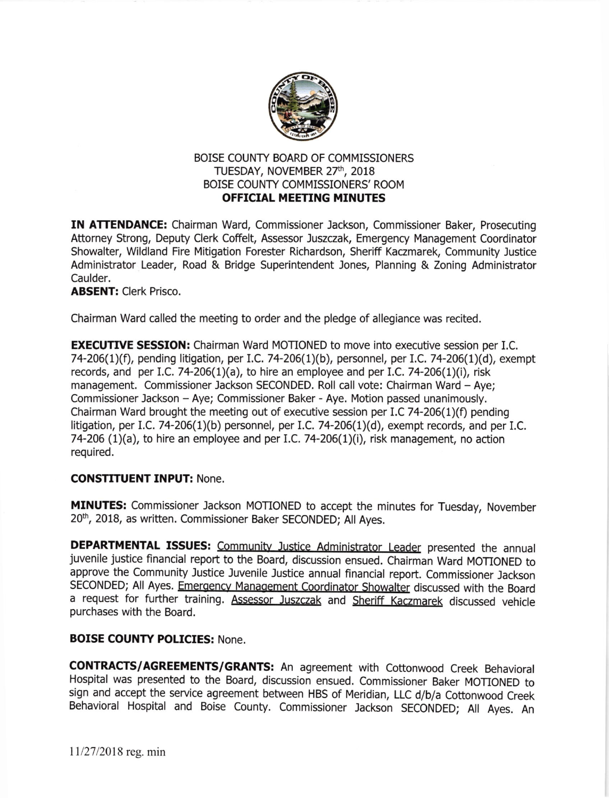

## BOISE COUNTY BOARD OF COMMISSIONERS TUESDAY, NOVEMBER 27th, 2018 EOISE COUNTY COMMISSIONERS' ROOM **OFFICIAL MEETING MINUTES**

IN ATTENDANCE: Chairman Ward, Commissioner Jackson, Commissioner Baker, Prosecuting Attorney Strong, Deputy Clerk Coffelt, Assessor Juszczak, Emergency Management Coordinator Showalter, Wildland Fire Mitigation Forester Richardson, Sheriff Kaczmarek, Community Justice Administrator Leader, Road & Bridge Superintendent Jones, Planning & Zoning Administrator Caulder.

ABSENT: Clerk Prisco.

Chairman Ward called the meeting to order and the pledge of allegiance was recited.

**EXECUTIVE SESSION:** Chairman Ward MOTIONED to move into executive session per I.C. 74-206(1)(f), pending litigation, per I.C. 74-206(1)(b), personnel, per I.C. 74-206(1)(d), exempt records, and per I.C. 74-206(1)(a), to hire an employee and per I.C. 74-206(1)(i), risk management. Commissioner Jackson SECONDED. Roll call vote: Chairman Ward - Aye; Commissioner Jackson - Aye; Commissioner Baker - Aye. Motion passed unanimously. Chairman Ward brought the meeting out of executive session per I.C 74-206(1)(f) pending litigation, per I.C. 74-206(1)(b) personnel, per I.C. 74-206(1)(d), exempt records, and per I.C. 74-206 (1)(a), to hire an employee and per I.C. 74-206(1)(i), risk management, no action required.

## CONSTITUENT INPUT: None.

MINUTES: Commissioner Jackson MOTIONED to accept the minutes for Tuesday, November 20<sup>th</sup>, 2018, as written. Commissioner Baker SECONDED; All Ayes.

DEPARTMENTAL ISSUES: Community Justice Administrator Leader presented the annual juvenile justice financial report to the Board, discussion ensued. Chairman Ward MOTIONED to approve the Community Justice Juvenile Justice annual financial report. Commissioner Jackson SECONDED; All Ayes. Emergency Management Coordinator Showalter discussed with the Board a request for further training. Assessor Juszczak and Sheriff Kaczmarek discussed vehicle purchases with the Board.

## BOISE COUNTY POLICIES: None.

CONTRACrS/AGREEMENTS/GRANTS: An agreement with cottonwood Creek Behavioral Hospital was presented to the Board, discussion ensued. Commissioner Baker MOTIONED to sign and accept the service agreement between HBS of Meridian, LLC d/b/a Cottonwood Creek Behavioral Hospital and Boise county. commissioner Jackson SECoNDED; All Ayes. An